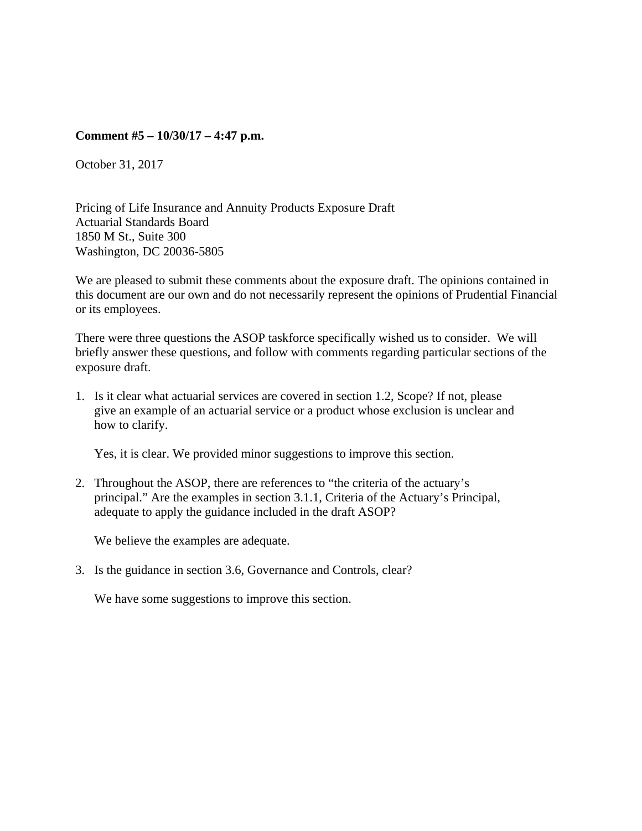### **Comment #5 – 10/30/17 – 4:47 p.m.**

October 31, 2017

Pricing of Life Insurance and Annuity Products Exposure Draft Actuarial Standards Board 1850 M St., Suite 300 Washington, DC 20036-5805

We are pleased to submit these comments about the exposure draft. The opinions contained in this document are our own and do not necessarily represent the opinions of Prudential Financial or its employees.

There were three questions the ASOP taskforce specifically wished us to consider. We will briefly answer these questions, and follow with comments regarding particular sections of the exposure draft.

1. Is it clear what actuarial services are covered in section 1.2, Scope? If not, please give an example of an actuarial service or a product whose exclusion is unclear and how to clarify.

Yes, it is clear. We provided minor suggestions to improve this section.

2. Throughout the ASOP, there are references to "the criteria of the actuary's principal." Are the examples in section 3.1.1, Criteria of the Actuary's Principal, adequate to apply the guidance included in the draft ASOP?

We believe the examples are adequate.

3. Is the guidance in section 3.6, Governance and Controls, clear?

We have some suggestions to improve this section.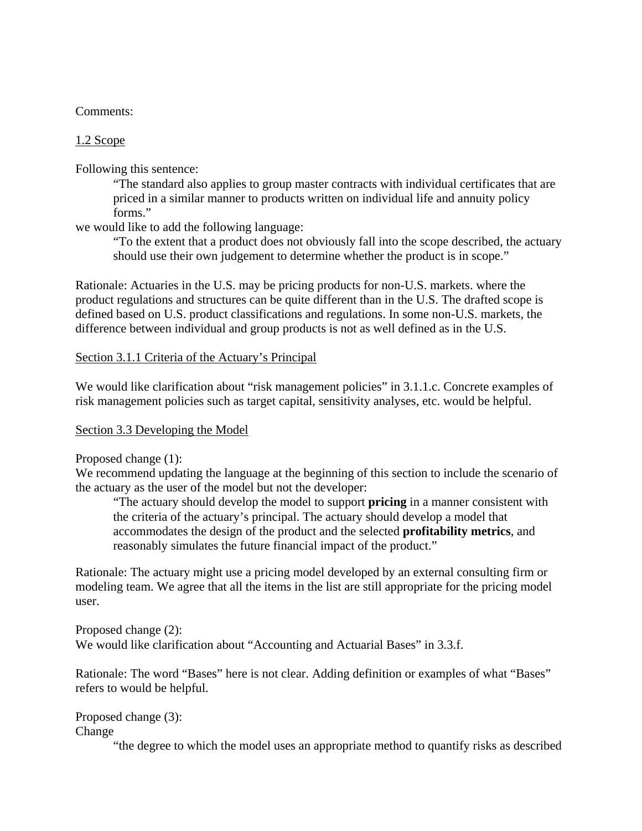### Comments:

## 1.2 Scope

Following this sentence:

"The standard also applies to group master contracts with individual certificates that are priced in a similar manner to products written on individual life and annuity policy forms."

we would like to add the following language:

"To the extent that a product does not obviously fall into the scope described, the actuary should use their own judgement to determine whether the product is in scope."

Rationale: Actuaries in the U.S. may be pricing products for non-U.S. markets. where the product regulations and structures can be quite different than in the U.S. The drafted scope is defined based on U.S. product classifications and regulations. In some non-U.S. markets, the difference between individual and group products is not as well defined as in the U.S.

Section 3.1.1 Criteria of the Actuary's Principal

We would like clarification about "risk management policies" in 3.1.1.c. Concrete examples of risk management policies such as target capital, sensitivity analyses, etc. would be helpful.

#### Section 3.3 Developing the Model

Proposed change (1):

We recommend updating the language at the beginning of this section to include the scenario of the actuary as the user of the model but not the developer:

"The actuary should develop the model to support **pricing** in a manner consistent with the criteria of the actuary's principal. The actuary should develop a model that accommodates the design of the product and the selected **profitability metrics**, and reasonably simulates the future financial impact of the product."

Rationale: The actuary might use a pricing model developed by an external consulting firm or modeling team. We agree that all the items in the list are still appropriate for the pricing model user.

Proposed change (2): We would like clarification about "Accounting and Actuarial Bases" in 3.3.f.

Rationale: The word "Bases" here is not clear. Adding definition or examples of what "Bases" refers to would be helpful.

Proposed change (3): Change

"the degree to which the model uses an appropriate method to quantify risks as described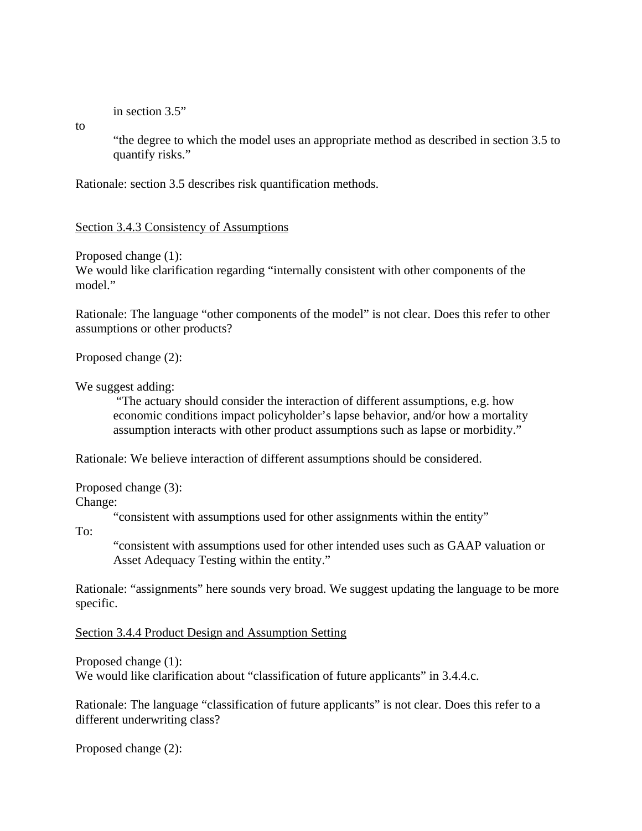in section 3.5"

to

"the degree to which the model uses an appropriate method as described in section 3.5 to quantify risks."

Rationale: section 3.5 describes risk quantification methods.

Section 3.4.3 Consistency of Assumptions

Proposed change (1):

We would like clarification regarding "internally consistent with other components of the model."

Rationale: The language "other components of the model" is not clear. Does this refer to other assumptions or other products?

Proposed change (2):

We suggest adding:

 "The actuary should consider the interaction of different assumptions, e.g. how economic conditions impact policyholder's lapse behavior, and/or how a mortality assumption interacts with other product assumptions such as lapse or morbidity."

Rationale: We believe interaction of different assumptions should be considered.

Proposed change (3): Change:

"consistent with assumptions used for other assignments within the entity"

To:

"consistent with assumptions used for other intended uses such as GAAP valuation or Asset Adequacy Testing within the entity."

Rationale: "assignments" here sounds very broad. We suggest updating the language to be more specific.

Section 3.4.4 Product Design and Assumption Setting

Proposed change (1): We would like clarification about "classification of future applicants" in 3.4.4.c.

Rationale: The language "classification of future applicants" is not clear. Does this refer to a different underwriting class?

Proposed change (2):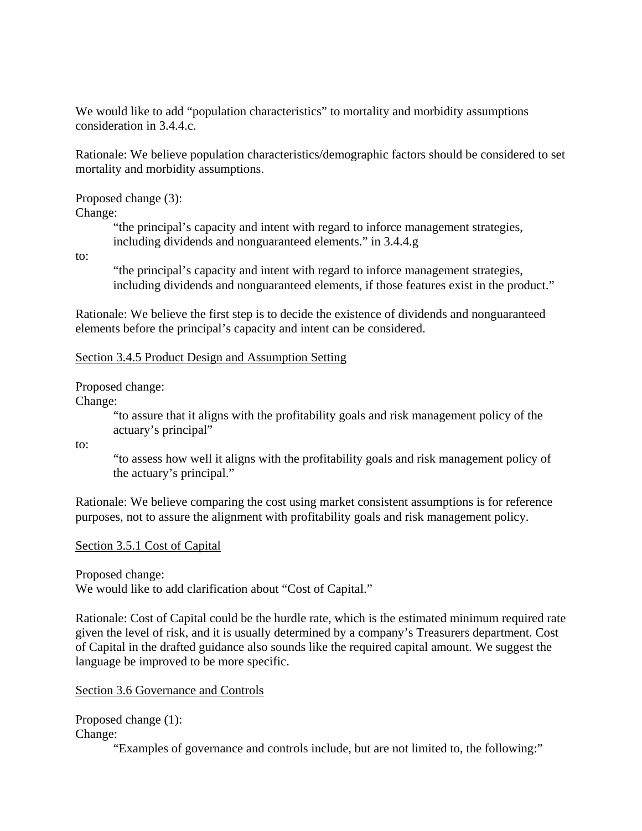We would like to add "population characteristics" to mortality and morbidity assumptions consideration in 3.4.4.c.

Rationale: We believe population characteristics/demographic factors should be considered to set mortality and morbidity assumptions.

Proposed change (3):

Change:

"the principal's capacity and intent with regard to inforce management strategies, including dividends and nonguaranteed elements." in 3.4.4.g

to:

"the principal's capacity and intent with regard to inforce management strategies, including dividends and nonguaranteed elements, if those features exist in the product."

Rationale: We believe the first step is to decide the existence of dividends and nonguaranteed elements before the principal's capacity and intent can be considered.

# Section 3.4.5 Product Design and Assumption Setting

Proposed change:

Change:

"to assure that it aligns with the profitability goals and risk management policy of the actuary's principal"

to:

"to assess how well it aligns with the profitability goals and risk management policy of the actuary's principal."

Rationale: We believe comparing the cost using market consistent assumptions is for reference purposes, not to assure the alignment with profitability goals and risk management policy.

# Section 3.5.1 Cost of Capital

Proposed change:

We would like to add clarification about "Cost of Capital."

Rationale: Cost of Capital could be the hurdle rate, which is the estimated minimum required rate given the level of risk, and it is usually determined by a company's Treasurers department. Cost of Capital in the drafted guidance also sounds like the required capital amount. We suggest the language be improved to be more specific.

Section 3.6 Governance and Controls

Proposed change (1): Change:

"Examples of governance and controls include, but are not limited to, the following:"